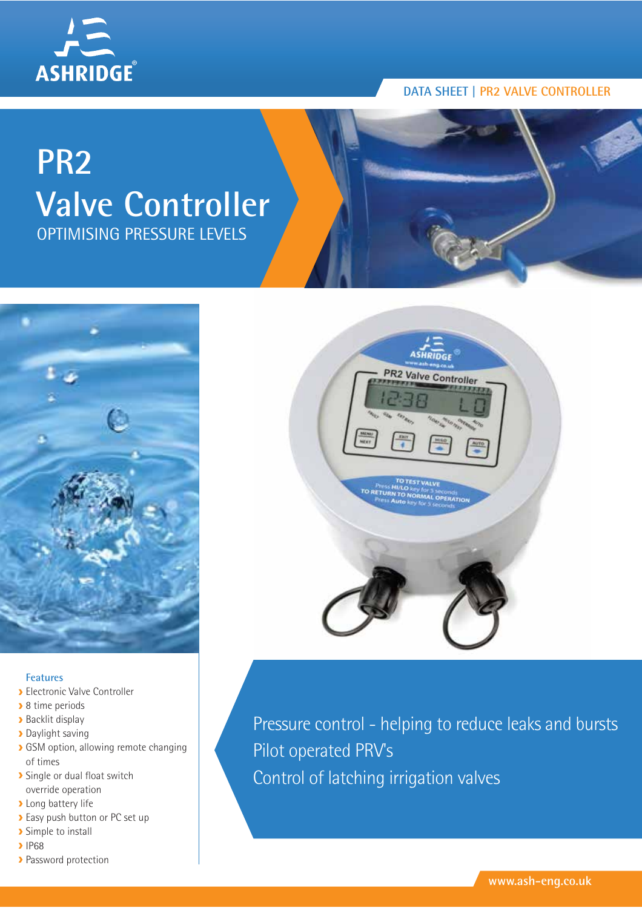

# **DATA SHEET | PR2 VALVE CONTROLLER**

# **PR2 Valve Controller** OPTIMISING PRESSURE LEVELS



## **Features**

- Electronic Valve Controller
- ▶ 8 time periods
- **Backlit display**
- **Daylight saving**
- SGSM option, allowing remote changing of times
- **>** Single or dual float switch override operation
- **>** Long battery life
- Easy push button or PC set up
- > Simple to install
- $\blacktriangleright$  IP68
- > Password protection



Pressure control - helping to reduce leaks and bursts Pilot operated PRV's Control of latching irrigation valves